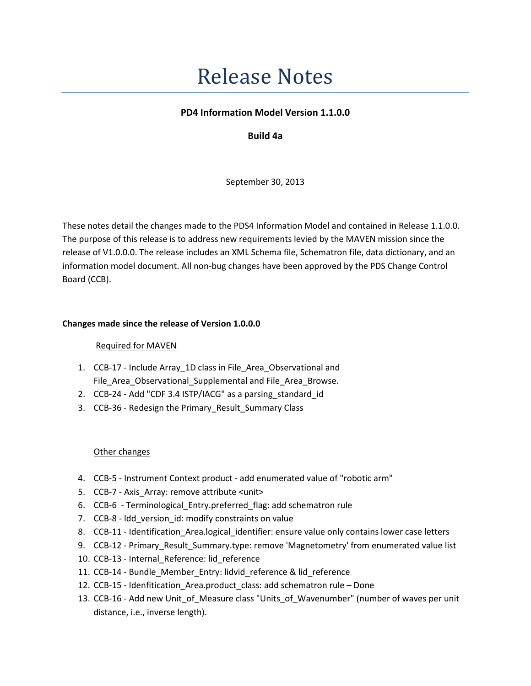# **Release Notes**

## PD4 Information Model Version 1.1.0.0

# Build 4a

September 30, 2013

These notes detail the changes made to the PDS4 Information Model and contained in Release 1.1.0.0. The purpose of this release is to address new requirements levied by the MAVEN mission since the release of V1.0.0.0. The release includes an XML Schema file, Schematron file, data dictionary, and an information model document. All non-bug changes have been approved by the PDS Change Control Board (CCB).

## Changes made since the release of Version 1.0.0.0

### Required for MAVEN

- 1. CCB-17 Include Array 1D class in File Area Observational and File\_Area\_Observational\_Supplemental and File\_Area\_Browse.
- 2. CCB-24 Add "CDF 3.4 ISTP/IACG" as a parsing\_standard\_id
- 3. CCB-36 Redesign the Primary Result Summary Class

### Other changes

- 4. CCB-5 Instrument Context product add enumerated value of "robotic arm"
- 5. CCB-7 Axis\_Array: remove attribute <unit>
- 6. CCB-6 Terminological\_Entry.preferred\_flag: add schematron rule
- 7. CCB-8 ldd\_version\_id: modify constraints on value
- 8. CCB-11 Identification\_Area.logical\_identifier: ensure value only contains lower case letters
- 9. CCB-12 Primary\_Result\_Summary.type: remove 'Magnetometry' from enumerated value list
- 10. CCB-13 Internal\_Reference: lid\_reference
- 11. CCB-14 Bundle Member Entry: lidvid reference & lid reference
- 12. CCB-15 Idenfitication\_Area.product\_class: add schematron rule Done
- 13. CCB-16 Add new Unit of Measure class "Units of Wavenumber" (number of waves per unit distance, i.e., inverse length).